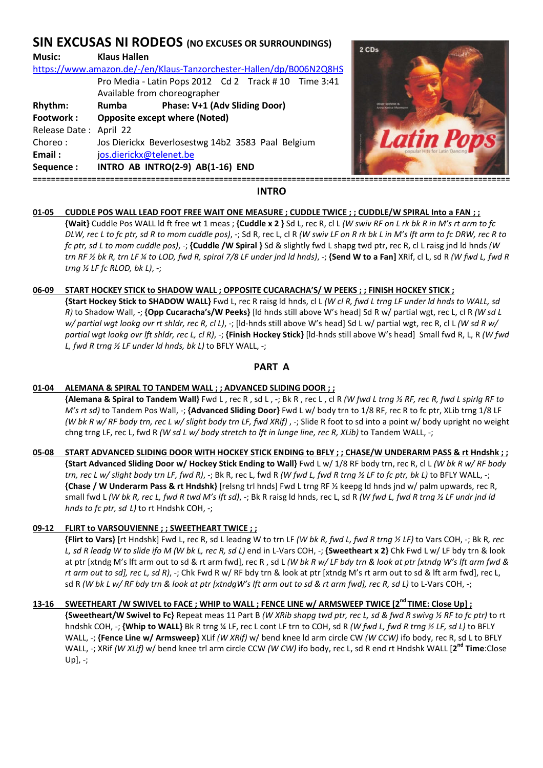# **SIN EXCUSAS NI RODEOS (NO EXCUSES OR SURROUNDINGS)**

# **Music: Klaus Hallen**  https://www.amazon.de/-/en/Klaus-Tanzorchester-Hallen/dp/B006N2Q8HS Pro Media - Latin Pops 2012 Cd 2 Track # 10 Time 3:41 Available from choreographer **Rhythm: Rumba Phase: V+1 (Adv Sliding Door) Footwork : Opposite except where (Noted)**  Release Date : April 22 Choreo : Jos Dierickx Beverlosestwg 14b2 3583 Paal Belgium **Email :** jos.dierickx@telenet.be **Sequence : INTRO AB INTRO(2-9) AB(1-16) END =========================================================================================================**



# **INTRO**

# **01-05 CUDDLE POS WALL LEAD FOOT FREE WAIT ONE MEASURE ; CUDDLE TWICE ; ; CUDDLE/W SPIRAL Into a FAN ; ;**

 **{Wait}** Cuddle Pos WALL ld ft free wt 1 meas ; **{Cuddle x 2 }** Sd L, rec R, cl L *(W swiv RF on L rk bk R in M's rt arm to fc DLW, rec L to fc ptr, sd R to mom cuddle pos)*, -; Sd R, rec L, cl R *(W swiv LF on R rk bk L in M's lft arm to fc DRW, rec R to fc ptr, sd L to mom cuddle pos)*, -; **{Cuddle /W Spiral }** Sd & slightly fwd L shapg twd ptr, rec R, cl L raisg jnd ld hnds *(W trn RF ½ bk R, trn LF ¼ to LOD, fwd R, spiral 7/8 LF under jnd ld hnds)*, -; **{Send W to a Fan]** XRif, cl L, sd R *(W fwd L, fwd R trng ½ LF fc RLOD, bk L)*, -;

# **06-09 START HOCKEY STICK to SHADOW WALL ; OPPOSITE CUCARACHA'S/ W PEEKS ; ; FINISH HOCKEY STICK ;**

 **{Start Hockey Stick to SHADOW WALL}** Fwd L, rec R raisg ld hnds, cl L *(W cl R, fwd L trng LF under ld hnds to WALL, sd R)* to Shadow Wall, -; **{Opp Cucaracha's/W Peeks}** [ld hnds still above W's head] Sd R w/ partial wgt, rec L, cl R *(W sd L w/ partial wgt lookg ovr rt shldr, rec R, cl L)*, -; [ld-hnds still above W's head] Sd L w/ partial wgt, rec R, cl L *(W sd R w/ partial wgt lookg ovr lft shldr, rec L, cl R)*, -; **{Finish Hockey Stick}** [ld-hnds still above W's head] Small fwd R, L, R *(W fwd L, fwd R trng ½ LF under ld hnds, bk L)* to BFLY WALL, -;

# **PART A**

# **01-04 ALEMANA & SPIRAL TO TANDEM WALL ; ; ADVANCED SLIDING DOOR ; ;**

 **{Alemana & Spiral to Tandem Wall}** Fwd L , rec R , sd L , -; Bk R , rec L , cl R *(W fwd L trng ½ RF, rec R, fwd L spirlg RF to M's rt sd)* to Tandem Pos Wall, -; **{Advanced Sliding Door}** Fwd L w/ body trn to 1/8 RF, rec R to fc ptr, XLib trng 1/8 LF *(W bk R w/ RF body trn, rec L w/ slight body trn LF, fwd XRif)* , -; Slide R foot to sd into a point w/ body upright no weight chng trng LF, rec L, fwd R *(W sd L w/ body stretch to lft in lunge line, rec R, XLib)* to Tandem WALL, -;

### **05-08 START ADVANCED SLIDING DOOR WITH HOCKEY STICK ENDING to BFLY ; ; CHASE/W UNDERARM PASS & rt Hndshk ; ; {Start Advanced Sliding Door w/ Hockey Stick Ending to Wall}** Fwd L w/ 1/8 RF body trn, rec R, cl L *(W bk R w/ RF body trn, rec L w/ slight body trn LF, fwd R)*, -; Bk R, rec L, fwd R *(W fwd L, fwd R trng ½ LF to fc ptr, bk L)* to BFLY WALL, -; **{Chase / W Underarm Pass & rt Hndshk}** [relsng trl hnds] Fwd L trng RF ½ keepg ld hnds jnd w/ palm upwards, rec R, small fwd L *(W bk R, rec L, fwd R twd M's lft sd)*, -; Bk R raisg ld hnds, rec L, sd R *(W fwd L, fwd R trng ½ LF undr jnd ld hnds to fc ptr, sd L)* to rt Hndshk COH, -;

# **09-12 FLIRT to VARSOUVIENNE ; ; SWEETHEART TWICE ; ;**

**{Flirt to Vars}** [rt Hndshk] Fwd L, rec R, sd L leadng W to trn LF *(W bk R, fwd L, fwd R trng ½ LF)* to Vars COH, -; Bk R*, rec L, sd R leadg W to slide ifo M (W bk L, rec R, sd L)* end in L-Vars COH, -; **{Sweetheart x 2}** Chk Fwd L w/ LF bdy trn & look at ptr [xtndg M's lft arm out to sd & rt arm fwd], rec R , sd L *(W bk R w/ LF bdy trn & look at ptr [xtndg W's lft arm fwd & rt arm out to sd], rec L, sd R)*, -; Chk Fwd R w/ RF bdy trn & look at ptr [xtndg M's rt arm out to sd & lft arm fwd], rec L, sd R *(W bk L w/ RF bdy trn & look at ptr [xtndgW's lft arm out to sd & rt arm fwd], rec R, sd L)* to L-Vars COH, -;

# **13-16 SWEETHEART /W SWIVEL to FACE ; WHIP to WALL ; FENCE LINE w/ ARMSWEEP TWICE [2nd TIME: Close Up] ;**

 **{Sweetheart/W Swivel to Fc}** Repeat meas 11 Part B *(W XRib shapg twd ptr, rec L, sd & fwd R swivg ½ RF to fc ptr)* to rt hndshk COH, -; **{Whip to WALL}** Bk R trng ¼ LF, rec L cont LF trn to COH, sd R *(W fwd L, fwd R trng ½ LF, sd L)* to BFLY WALL, -; **{Fence Line w/ Armsweep}** XLif *(W XRif)* w/ bend knee ld arm circle CW *(W CCW)* ifo body, rec R, sd L to BFLY WALL, -; XRif *(W XLif)* w/ bend knee trl arm circle CCW *(W CW)* ifo body, rec L, sd R end rt Hndshk WALL [**2 nd Time**:Close  $Up$ , -;